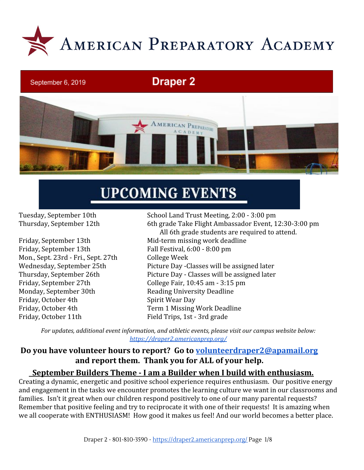

# **Draper 2**



# **UPCOMING EVENTS**

September 6, 2019

Friday, September 13th Fall Festival, 6:00 - 8:00 pm Mon., Sept. 23rd - Fri., Sept. 27th College Week Monday, September 30th Reading University Deadline Friday, October 4th Spirit Wear Day Friday, October 4th Term 1 Missing Work Deadline Friday, October 11th Field Trips, 1st - 3rd grade

Tuesday, September 10th School Land Trust Meeting, 2:00 - 3:00 pm Thursday, September 12th 6th grade Take Flight Ambassador Event, 12:30-3:00 pm All 6th grade students are required to attend. Friday, September 13th Mid-term missing work deadline Wednesday, September 25th Picture Day -Classes will be assigned later Thursday, September 26th Picture Day - Classes will be assigned later Friday, September 27th College Fair, 10:45 am - 3:15 pm

*For updates, additional event information, and athletic events, please visit our campus website below: <https://draper2.americanprep.org/>*

# **Do you have volunteer hours to report? Go to [volunteerdraper2@apamail.org](mailto:volunteerdraper2@apamail.org) and report them. Thank you for ALL of your help.**

# **September Builders Theme - I am a Builder when I build with enthusiasm.**

Creating a dynamic, energetic and positive school experience requires enthusiasm. Our positive energy and engagement in the tasks we encounter promotes the learning culture we want in our classrooms and families. Isn't it great when our children respond positively to one of our many parental requests? Remember that positive feeling and try to reciprocate it with one of their requests! It is amazing when we all cooperate with ENTHUSIASM! How good it makes us feel! And our world becomes a better place.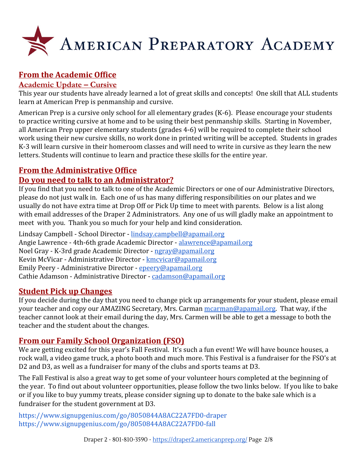

# **From the Academic Office**

# **Academic Update – Cursive**

This year our students have already learned a lot of great skills and concepts! One skill that ALL students learn at American Prep is penmanship and cursive.

American Prep is a cursive only school for all elementary grades (K-6). Please encourage your students to practice writing cursive at home and to be using their best penmanship skills. Starting in November, all American Prep upper elementary students (grades 4-6) will be required to complete their school work using their new cursive skills, no work done in printed writing will be accepted. Students in grades K-3 will learn cursive in their homeroom classes and will need to write in cursive as they learn the new letters. Students will continue to learn and practice these skills for the entire year.

# **From the Administrative Office**

# **Do you need to talk to an Administrator?**

If you find that you need to talk to one of the Academic Directors or one of our Administrative Directors, please do not just walk in. Each one of us has many differing responsibilities on our plates and we usually do not have extra time at Drop Off or Pick Up time to meet with parents. Below is a list along with email addresses of the Draper 2 Administrators. Any one of us will gladly make an appointment to meet with you. Thank you so much for your help and kind consideration.

Lindsay Campbell - School Director - [lindsay.campbell@apamail.org](mailto:lindsay.campbell@apamail.org) Angie Lawrence - 4th-6th grade Academic Director - [alawrence@apamail.org](mailto:alawrence@apamail.org) Noel Gray - K-3rd grade Academic Director - [ngray@apamail.org](mailto:ngray@apamail.org) Kevin McVicar - Administrative Director - [kmcvicar@apamail.org](mailto:kmcvicar@apamail.org) Emily Peery - Administrative Director - [epeery@apamail.org](mailto:epeery@apamail.org) Cathie Adamson - Administrative Director - [cadamson@apamail.org](mailto:cadamson@apamail.org)

# **Student Pick up Changes**

If you decide during the day that you need to change pick up arrangements for your student, please email your teacher and copy our AMAZING Secretary, Mrs. Carman [mcarman@apamail.org.](mailto:mcarmen@apamail.org) That way, if the teacher cannot look at their email during the day, Mrs. Carmen will be able to get a message to both the teacher and the student about the changes.

# **From our Family School Organization (FSO)**

We are getting excited for this year's Fall Festival. It's such a fun event! We will have bounce houses, a rock wall, a video game truck, a photo booth and much more. This Festival is a fundraiser for the FSO's at D2 and D3, as well as a fundraiser for many of the clubs and sports teams at D3.

The Fall Festival is also a great way to get some of your volunteer hours completed at the beginning of the year. To find out about volunteer opportunities, please follow the two links below. If you like to bake or if you like to buy yummy treats, please consider signing up to donate to the bake sale which is a fundraiser for the student government at D3.

<https://www.signupgenius.com/go/8050844A8AC22A7FD0-draper> <https://www.signupgenius.com/go/8050844A8AC22A7FD0-fall>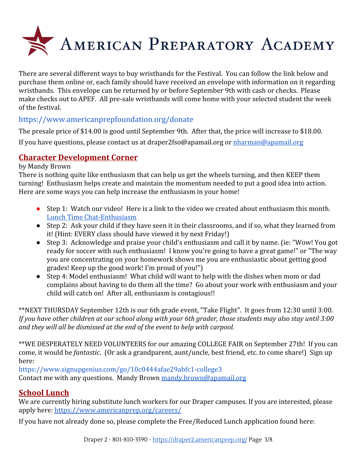

There are several different ways to buy wristbands for the Festival. You can follow the link below and purchase them online or, each family should have received an envelope with information on it regarding wristbands. This envelope can be returned by or before September 9th with cash or checks. Please make checks out to APEF. All pre-sale wristbands will come home with your selected student the week of the festival.

# <https://www.americanprepfoundation.org/donate>

The presale price of \$14.00 is good until September 9th. After that, the price will increase to \$18.00.

If you have questions, please contact us at draper2fso@apamail.org or [nharman@apamail.org](mailto:nharman@apamail.org)

# **Character Development Corner**

#### by Mandy Brown

There is nothing quite like enthusiasm that can help us get the wheels turning, and then KEEP them turning! Enthusiasm helps create and maintain the momentum needed to put a good idea into action. Here are some ways you can help increase the enthusiasm in your home!

- Step 1: Watch our video! [Here](https://drive.google.com/file/d/1yMxWSMH2JJjreafDDqJumcluiI7BoLwg/view) is a link to the video we created about enthusiasm this month. [Lunch Time Chat-Enthusiasm](https://drive.google.com/file/d/1yMxWSMH2JJjreafDDqJumcluiI7BoLwg/view)
- Step 2: Ask your child if they have seen it in their classrooms, and if so, what they learned from it! (Hint: EVERY class should have viewed it by next Friday!)
- Step 3: Acknowledge and praise your child's enthusiasm and call it by name. (ie: "Wow! You got ready for soccer with such enthusiasm! I know you're going to have a great game!" or "The way you are concentrating on your homework shows me you are enthusiastic about getting good grades! Keep up the good work! I'm proud of you!")
- Step 4: Model enthusiasm! What child will want to help with the dishes when mom or dad complains about having to do them all the time? Go about your work with enthusiasm and your child will catch on! After all, enthusiasm is contagious!!

\*\*NEXT THURSDAY September 12th is our 6th grade event, "Take Flight". It goes from 12:30 until 3:00. *If you have other children at our school along with your 6th grader, those students may also stay until 3:00 and they will all be dismissed at the end of the event to help with carpool.*

\*\*WE DESPERATELY NEED VOLUNTEERS for our amazing COLLEGE FAIR on September 27th! If you can come, it would be *fantastic*. (Or ask a grandparent, aunt/uncle, best friend, etc. to come share!) Sign up here:

<https://www.signupgenius.com/go/10c0444afae29abfc1-college3> Contact me with any questions. Mandy Brown [mandy.brown@apamail.org](mailto:mandy.brown@apamail.org)

# **School Lunch**

We are currently hiring substitute lunch workers for our Draper campuses. If you are interested, please apply here: <https://www.americanprep.org/careers/>

If you have not already done so, please complete the Free/Reduced Lunch application found here: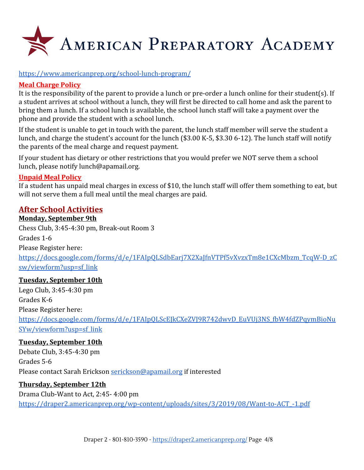

#### <https://www.americanprep.org/school-lunch-program/>

#### **Meal Charge Policy**

It is the responsibility of the parent to provide a lunch or pre-order a lunch online for their student(s). If a student arrives at school without a lunch, they will first be directed to call home and ask the parent to bring them a lunch. If a school lunch is available, the school lunch staff will take a payment over the phone and provide the student with a school lunch.

If the student is unable to get in touch with the parent, the lunch staff member will serve the student a lunch, and charge the student's account for the lunch (\$3.00 K-5, \$3.30 6-12). The lunch staff will notify the parents of the meal charge and request payment.

If your student has dietary or other restrictions that you would prefer we NOT serve them a school lunch, please notify [lunch@apamail.org](mailto:lunch@apamail.org).

#### **Unpaid Meal Policy**

If a student has unpaid meal charges in excess of \$10, the lunch staff will offer them something to eat, but will not serve them a full meal until the meal charges are paid.

# **After School Activities**

#### **Monday, September 9th**

Chess Club, 3:45-4:30 pm, Break-out Room 3 Grades 1-6 Please Register here: [https://docs.google.com/forms/d/e/1FAIpQLSdbEarj7X2XaJfnVTPf5vXvzxTm8e1CXcMbzm\\_TcqW-D\\_zC](https://docs.google.com/forms/d/e/1FAIpQLSdbEarj7X2XaJfnVTPf5vXvzxTm8e1CXcMbzm_TcqW-D_zCsw/viewform?usp=sf_link) [sw/viewform?usp=sf\\_link](https://docs.google.com/forms/d/e/1FAIpQLSdbEarj7X2XaJfnVTPf5vXvzxTm8e1CXcMbzm_TcqW-D_zCsw/viewform?usp=sf_link)

#### **Tuesday, September 10th**

Lego Club, 3:45-4:30 pm Grades K-6 Please Register here: [https://docs.google.com/forms/d/e/1FAIpQLScEJkCXeZVJ9R742dwvD\\_EuVUj3NS\\_fbW4fdZPqymBioNu](https://docs.google.com/forms/d/e/1FAIpQLScEJkCXeZVJ9R742dwvD_EuVUj3NS_fbW4fdZPqymBioNuSYw/viewform?usp=sf_link) [SYw/viewform?usp=sf\\_link](https://docs.google.com/forms/d/e/1FAIpQLScEJkCXeZVJ9R742dwvD_EuVUj3NS_fbW4fdZPqymBioNuSYw/viewform?usp=sf_link)

#### **Tuesday, September 10th**

Debate Club, 3:45-4:30 pm Grades 5-6 Please contact Sarah Erickson [serickson@apamail.org](mailto:serickson@apamail.org) if interested

#### **Thursday, September 12th**

#### Drama Club-Want to Act, 2:45- 4:00 pm

[https://draper2.americanprep.org/wp-content/uploads/sites/3/2019/08/Want-to-ACT\\_-1.pdf](https://draper2.americanprep.org/wp-content/uploads/sites/3/2019/08/Want-to-ACT_-1.pdf)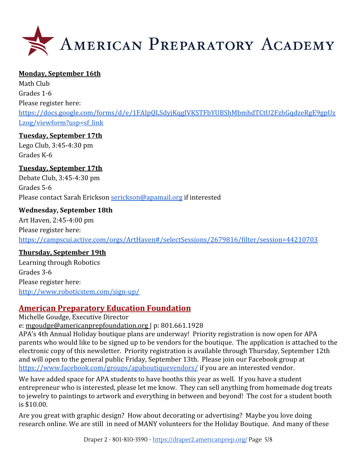

#### **Monday, September 16th**

Math Club Grades 1-6 Please register here: [https://docs.google.com/forms/d/e/1FAIpQLSdyjKqgIVKSTFbYUBShMbmhdTCtU2FzhGqdzeRgE9gpUz](https://docs.google.com/forms/d/e/1FAIpQLSdyjKqgIVKSTFbYUBShMbmhdTCtU2FzhGqdzeRgE9gpUzLzog/viewform?usp=sf_link) [Lzog/viewform?usp=sf\\_link](https://docs.google.com/forms/d/e/1FAIpQLSdyjKqgIVKSTFbYUBShMbmhdTCtU2FzhGqdzeRgE9gpUzLzog/viewform?usp=sf_link)

#### **Tuesday, September 17th**

Lego Club, 3:45-4:30 pm Grades K-6

#### **Tuesday, September 17th**

Debate Club, 3:45-4:30 pm Grades 5-6 Please contact Sarah Erickson [serickson@apamail.org](mailto:serickson@apamail.org) if interested

#### **Wednesday, September 18th**

Art Haven, 2:45-4:00 pm Please register here: <https://campscui.active.com/orgs/ArtHaven#/selectSessions/2679816/filter/session=44210703>

#### **Thursday, September 19th**

Learning through Robotics Grades 3-6 Please register here: <http://www.roboticstem.com/sign-up/>

#### **American Preparatory Education Foundation**

Michelle Goudge, Executive Director e: [mgoudge@americanprepfoundation.org |](mailto:mgoudge@americanprepfoundation.org) p: 801.661.1928

APA's 4th Annual Holiday boutique plans are underway! Priority registration is now open for APA parents who would like to be signed up to be vendors for the boutique. The application is attached to the electronic copy of this newsletter. Priority registration is available through Thursday, September 12th and will open to the general public Friday, September 13th. Please join our Facebook group at <https://www.facebook.com/groups/apaboutiquevendors/> if you are an interested vendor.

We have added space for APA students to have booths this year as well. If you have a student entrepreneur who is interested, please let me know. They can sell anything from homemade dog treats to jewelry to paintings to artwork and everything in between and beyond! The cost for a student booth is \$10.00.

Are you great with graphic design? How about decorating or advertising? Maybe you love doing research online. We are still in need of MANY volunteers for the Holiday Boutique. And many of these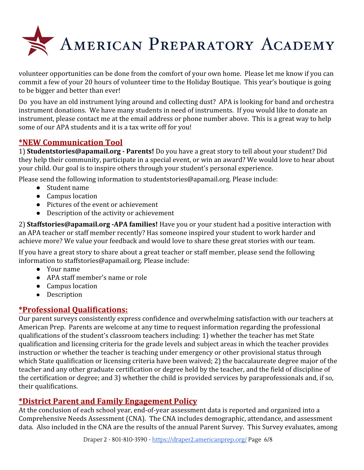

volunteer opportunities can be done from the comfort of your own home. Please let me know if you can commit a few of your 20 hours of volunteer time to the Holiday Boutique. This year's boutique is going to be bigger and better than ever!

Do you have an old instrument lying around and collecting dust? APA is looking for band and orchestra instrument donations. We have many students in need of instruments. If you would like to donate an instrument, please contact me at the email address or phone number above. This is a great way to help some of our APA students and it is a tax write off for you!

# **\*NEW Communication Tool**

1) **Studentstories@apamail.org - Parents!** Do you have a great story to tell about your student? Did they help their community, participate in a special event, or win an award? We would love to hear about your child. Our goal is to inspire others through your student's personal experience.

Please send the following information to studentstories@apamail.org. Please include:

- Student name
- Campus location
- Pictures of the event or achievement
- Description of the activity or achievement

2) **Staffstories@apamail.org -APA families!** Have you or your student had a positive interaction with an APA teacher or staff member recently? Has someone inspired your student to work harder and achieve more? We value your feedback and would love to share these great stories with our team.

If you have a great story to share about a great teacher or staff member, please send the following information to staffstories@apamail.org. Please include:

- Your name
- APA staff member's name or role
- Campus location
- Description

# **\*Professional Qualifications:**

Our parent surveys consistently express confidence and overwhelming satisfaction with our teachers at American Prep. Parents are welcome at any time to request information regarding the professional qualifications of the student's classroom teachers including: 1) whether the teacher has met State qualification and licensing criteria for the grade levels and subject areas in which the teacher provides instruction or whether the teacher is teaching under emergency or other provisional status through which State qualification or licensing criteria have been waived; 2) the baccalaureate degree major of the teacher and any other graduate certification or degree held by the teacher, and the field of discipline of the certification or degree; and 3) whether the child is provided services by paraprofessionals and, if so, their qualifications.

# **\*District Parent and Family Engagement Policy**

At the conclusion of each school year, end-of-year assessment data is reported and organized into a Comprehensive Needs Assessment (CNA). The CNA includes demographic, attendance, and assessment data. Also included in the CNA are the results of the annual Parent Survey. This Survey evaluates, among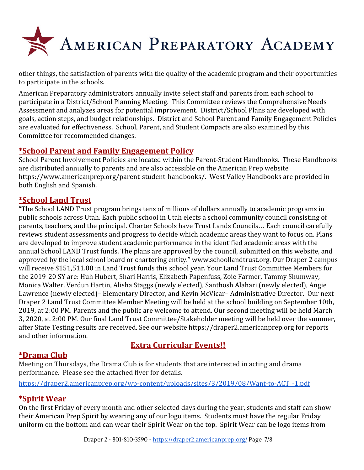

other things, the satisfaction of parents with the quality of the academic program and their opportunities to participate in the schools.

American Preparatory administrators annually invite select staff and parents from each school to participate in a District/School Planning Meeting. This Committee reviews the Comprehensive Needs Assessment and analyzes areas for potential improvement. District/School Plans are developed with goals, action steps, and budget relationships. District and School Parent and Family Engagement Policies are evaluated for effectiveness. School, Parent, and Student Compacts are also examined by this Committee for recommended changes.

# **\*School Parent and Family Engagement Policy**

School Parent Involvement Policies are located within the Parent-Student Handbooks. These Handbooks are distributed annually to parents and are also accessible on the American Prep website <https://www.americanprep.org/parent-student-handbooks/>. West Valley Handbooks are provided in both English and Spanish.

# **\*School Land Trust**

"The School LAND Trust program brings tens of millions of dollars annually to academic programs in public schools across Utah. Each public school in Utah elects a school community council consisting of parents, teachers, and the principal. Charter Schools have Trust Lands Councils… Each council carefully reviews student assessments and progress to decide which academic areas they want to focus on. Plans are developed to improve student academic performance in the identified academic areas with the annual School LAND Trust funds. The plans are approved by the council, submitted on this website, and approved by the local school board or chartering entity." www.schoollandtrust.org. Our Draper 2 campus will receive \$151,511.00 in Land Trust funds this school year. Your Land Trust Committee Members for the 2019-20 SY are: Huh Hubert, Shari Harris, Elizabeth Papenfuss, Zoie Farmer, Tammy Shumway, Monica Walter, Verdun Hartin, Alisha Staggs (newly elected), Santhosh Alahari (newly elected), Angie Lawrence (newly elected)– Elementary Director, and Kevin McVicar– Administrative Director. Our next Draper 2 Land Trust Committee Member Meeting will be held at the school building on September 10th, 2019, at 2:00 PM. Parents and the public are welcome to attend. Our second meeting will be held March 3, 2020, at 2:00 PM. Our final Land Trust Committee/Stakeholder meeting will be held over the summer, after State Testing results are received. See our website https://draper2.americanprep.org for reports and other information.

# **Extra Curricular Events!!**

# **\*Drama Club**

Meeting on Thursdays, the Drama Club is for students that are interested in acting and drama performance. Please see the attached flyer for details.

[https://draper2.americanprep.org/wp-content/uploads/sites/3/2019/08/Want-to-ACT\\_-1.pdf](https://draper2.americanprep.org/wp-content/uploads/sites/3/2019/08/Want-to-ACT_-1.pdf)

# **\*Spirit Wear**

On the first Friday of every month and other selected days during the year, students and staff can show their American Prep Spirit by wearing any of our logo items. Students must have the regular Friday uniform on the bottom and can wear their Spirit Wear on the top. Spirit Wear can be logo items from